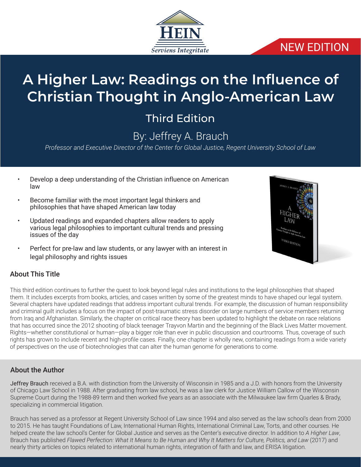

### NEW EDITION

# **A Higher Law: Readings on the Influence of Christian Thought in Anglo-American Law**

## Third Edition

### By: Jeffrey A. Brauch

*Professor and Executive Director of the Center for Global Justice, Regent University School of Law*

- Develop a deep understanding of the Christian influence on American law
- Become familiar with the most important legal thinkers and philosophies that have shaped American law today
- Updated readings and expanded chapters allow readers to apply various legal philosophies to important cultural trends and pressing issues of the day
- Perfect for pre-law and law students, or any lawyer with an interest in legal philosophy and rights issues



### About This Title

This third edition continues to further the quest to look beyond legal rules and institutions to the legal philosophies that shaped them. It includes excerpts from books, articles, and cases written by some of the greatest minds to have shaped our legal system. Several chapters have updated readings that address important cultural trends. For example, the discussion of human responsibility and criminal guilt includes a focus on the impact of post-traumatic stress disorder on large numbers of service members returning from Iraq and Afghanistan. Similarly, the chapter on critical race theory has been updated to highlight the debate on race relations that has occurred since the 2012 shooting of black teenager Trayvon Martin and the beginning of the Black Lives Matter movement. Rights—whether constitutional or human—play a bigger role than ever in public discussion and courtrooms. Thus, coverage of such rights has grown to include recent and high-profile cases. Finally, one chapter is wholly new, containing readings from a wide variety of perspectives on the use of biotechnologies that can alter the human genome for generations to come.

#### About the Author

Jeffrey Brauch received a B.A. with distinction from the University of Wisconsin in 1985 and a J.D. with honors from the University of Chicago Law School in 1988. After graduating from law school, he was a law clerk for Justice William Callow of the Wisconsin Supreme Court during the 1988-89 term and then worked five years as an associate with the Milwaukee law firm Quarles & Brady, specializing in commercial litigation.

Brauch has served as a professor at Regent University School of Law since 1994 and also served as the law school's dean from 2000 to 2015. He has taught Foundations of Law, International Human Rights, International Criminal Law, Torts, and other courses. He helped create the law school's Center for Global Justice and serves as the Center's executive director. In addition to *A Higher Law*, Brauch has published *Flawed Perfection: What It Means to Be Human and Why It Matters for Culture, Politics, and Law* (2017) and nearly thirty articles on topics related to international human rights, integration of faith and law, and ERISA litigation.